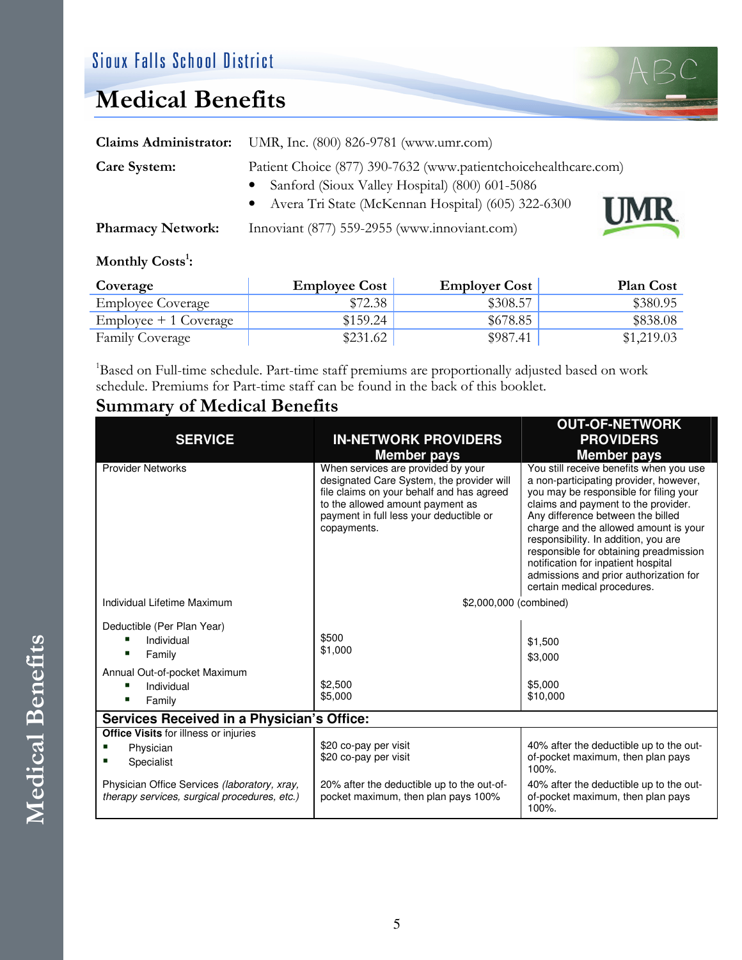## Medical Benefits

|                          | Claims Administrator: UMR, Inc. (800) 826-9781 (www.umr.com)                                                      |  |
|--------------------------|-------------------------------------------------------------------------------------------------------------------|--|
| <b>Care System:</b>      | Patient Choice (877) 390-7632 (www.patientchoicehealthcare.com)<br>Sanford (Sioux Valley Hospital) (800) 601-5086 |  |
|                          | Avera Tri State (McKennan Hospital) (605) 322-6300<br><b>UMR</b>                                                  |  |
| <b>Pharmacy Network:</b> | Innoviant (877) 559-2955 (www.innoviant.com)                                                                      |  |

## Monthly Costs<sup>1</sup>:

| Coverage                 | <b>Employee Cost</b> | <b>Employer Cost</b> | <b>Plan Cost</b> |
|--------------------------|----------------------|----------------------|------------------|
| <b>Employee Coverage</b> | \$72.38              | \$308.57             | \$380.95         |
| $Emplovee + 1 Coverage$  | \$159.24             | \$678.85             | \$838.08         |
| <b>Family Coverage</b>   | \$231.62             | \$987.41             | \$1,219.03       |

<sup>1</sup>Based on Full-time schedule. Part-time staff premiums are proportionally adjusted based on work schedule. Premiums for Part-time staff can be found in the back of this booklet.

## Summary of Medical Benefits

|                                                                                              |                                                                                                                                                                                                                            | <b>OUT-OF-NETWORK</b>                                                                                                                                                                                                                                                                                                                                                                                                                              |
|----------------------------------------------------------------------------------------------|----------------------------------------------------------------------------------------------------------------------------------------------------------------------------------------------------------------------------|----------------------------------------------------------------------------------------------------------------------------------------------------------------------------------------------------------------------------------------------------------------------------------------------------------------------------------------------------------------------------------------------------------------------------------------------------|
| <b>SERVICE</b>                                                                               | <b>IN-NETWORK PROVIDERS</b>                                                                                                                                                                                                | <b>PROVIDERS</b>                                                                                                                                                                                                                                                                                                                                                                                                                                   |
|                                                                                              | <b>Member pays</b>                                                                                                                                                                                                         | <b>Member pays</b>                                                                                                                                                                                                                                                                                                                                                                                                                                 |
| <b>Provider Networks</b>                                                                     | When services are provided by your<br>designated Care System, the provider will<br>file claims on your behalf and has agreed<br>to the allowed amount payment as<br>payment in full less your deductible or<br>copayments. | You still receive benefits when you use<br>a non-participating provider, however,<br>you may be responsible for filing your<br>claims and payment to the provider.<br>Any difference between the billed<br>charge and the allowed amount is your<br>responsibility. In addition, you are<br>responsible for obtaining preadmission<br>notification for inpatient hospital<br>admissions and prior authorization for<br>certain medical procedures. |
| Individual Lifetime Maximum                                                                  | \$2,000,000 (combined)                                                                                                                                                                                                     |                                                                                                                                                                                                                                                                                                                                                                                                                                                    |
| Deductible (Per Plan Year)                                                                   |                                                                                                                                                                                                                            |                                                                                                                                                                                                                                                                                                                                                                                                                                                    |
| Individual                                                                                   | \$500                                                                                                                                                                                                                      | \$1,500                                                                                                                                                                                                                                                                                                                                                                                                                                            |
| Family                                                                                       | \$1,000                                                                                                                                                                                                                    | \$3,000                                                                                                                                                                                                                                                                                                                                                                                                                                            |
| Annual Out-of-pocket Maximum                                                                 |                                                                                                                                                                                                                            |                                                                                                                                                                                                                                                                                                                                                                                                                                                    |
| Individual<br>ш                                                                              | \$2,500<br>\$5,000                                                                                                                                                                                                         | \$5,000<br>\$10,000                                                                                                                                                                                                                                                                                                                                                                                                                                |
| Family                                                                                       |                                                                                                                                                                                                                            |                                                                                                                                                                                                                                                                                                                                                                                                                                                    |
| Services Received in a Physician's Office:                                                   |                                                                                                                                                                                                                            |                                                                                                                                                                                                                                                                                                                                                                                                                                                    |
| <b>Office Visits for illness or injuries</b>                                                 |                                                                                                                                                                                                                            | 40% after the deductible up to the out-                                                                                                                                                                                                                                                                                                                                                                                                            |
| Physician<br>Specialist                                                                      | \$20 co-pay per visit<br>\$20 co-pay per visit                                                                                                                                                                             | of-pocket maximum, then plan pays<br>100%.                                                                                                                                                                                                                                                                                                                                                                                                         |
| Physician Office Services (laboratory, xray,<br>therapy services, surgical procedures, etc.) | 20% after the deductible up to the out-of-<br>pocket maximum, then plan pays 100%                                                                                                                                          | 40% after the deductible up to the out-<br>of-pocket maximum, then plan pays<br>100%.                                                                                                                                                                                                                                                                                                                                                              |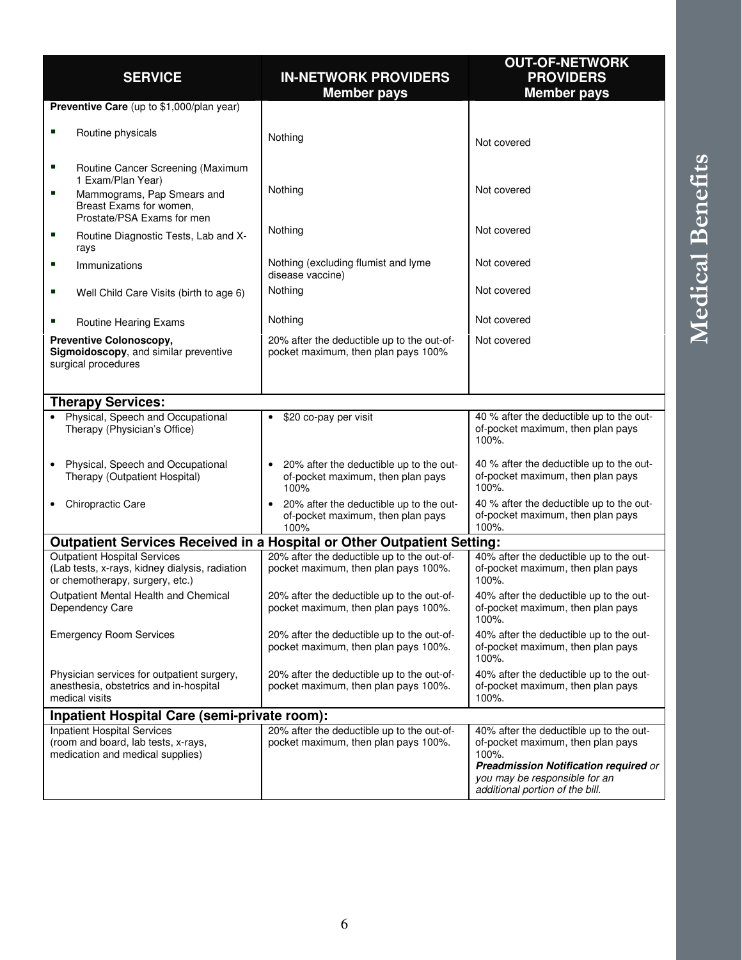|                                                                                                                          |                                                                                                   | <b>OUT-OF-NETWORK</b>                                                                                                                                                                                     |
|--------------------------------------------------------------------------------------------------------------------------|---------------------------------------------------------------------------------------------------|-----------------------------------------------------------------------------------------------------------------------------------------------------------------------------------------------------------|
| <b>SERVICE</b>                                                                                                           | <b>IN-NETWORK PROVIDERS</b>                                                                       | <b>PROVIDERS</b>                                                                                                                                                                                          |
|                                                                                                                          | <b>Member pays</b>                                                                                | <b>Member pays</b>                                                                                                                                                                                        |
| Preventive Care (up to \$1,000/plan year)                                                                                |                                                                                                   |                                                                                                                                                                                                           |
| п<br>Routine physicals                                                                                                   | Nothing                                                                                           | Not covered                                                                                                                                                                                               |
| ٠<br>Routine Cancer Screening (Maximum<br>1 Exam/Plan Year)                                                              |                                                                                                   |                                                                                                                                                                                                           |
| п<br>Mammograms, Pap Smears and<br>Breast Exams for women,<br>Prostate/PSA Exams for men                                 | Nothing                                                                                           | Not covered                                                                                                                                                                                               |
| п<br>Routine Diagnostic Tests, Lab and X-<br>rays                                                                        | Nothing                                                                                           | Not covered                                                                                                                                                                                               |
| п<br>Immunizations                                                                                                       | Nothing (excluding flumist and lyme<br>disease vaccine)                                           | Not covered                                                                                                                                                                                               |
| Well Child Care Visits (birth to age 6)<br>ш                                                                             | Nothing                                                                                           | Not covered                                                                                                                                                                                               |
| ш<br>Routine Hearing Exams                                                                                               | Nothing                                                                                           | Not covered                                                                                                                                                                                               |
| <b>Preventive Colonoscopy,</b><br>Sigmoidoscopy, and similar preventive<br>surgical procedures                           | 20% after the deductible up to the out-of-<br>pocket maximum, then plan pays 100%                 | Not covered                                                                                                                                                                                               |
| <b>Therapy Services:</b>                                                                                                 |                                                                                                   |                                                                                                                                                                                                           |
| Physical, Speech and Occupational<br>Therapy (Physician's Office)                                                        | \$20 co-pay per visit                                                                             | 40 % after the deductible up to the out-<br>of-pocket maximum, then plan pays<br>100%.                                                                                                                    |
| Physical, Speech and Occupational<br>Therapy (Outpatient Hospital)                                                       | 20% after the deductible up to the out-<br>$\bullet$<br>of-pocket maximum, then plan pays<br>100% | 40 % after the deductible up to the out-<br>of-pocket maximum, then plan pays<br>100%.                                                                                                                    |
| Chiropractic Care                                                                                                        | 20% after the deductible up to the out-<br>of-pocket maximum, then plan pays<br>100%              | 40 % after the deductible up to the out-<br>of-pocket maximum, then plan pays<br>100%.                                                                                                                    |
| Outpatient Services Received in a Hospital or Other Outpatient Setting:                                                  |                                                                                                   |                                                                                                                                                                                                           |
| <b>Outpatient Hospital Services</b><br>(Lab tests, x-rays, kidney dialysis, radiation<br>or chemotherapy, surgery, etc.) | 20% after the deductible up to the out-of-<br>pocket maximum, then plan pays 100%.                | 40% after the deductible up to the out-<br>of-pocket maximum, then plan pays<br>100%.                                                                                                                     |
| Outpatient Mental Health and Chemical<br>Dependency Care                                                                 | 20% after the deductible up to the out-of-<br>pocket maximum, then plan pays 100%.                | 40% after the deductible up to the out-<br>of-pocket maximum, then plan pays<br>$100%$ .                                                                                                                  |
| <b>Emergency Room Services</b>                                                                                           | 20% after the deductible up to the out-of-<br>pocket maximum, then plan pays 100%.                | 40% after the deductible up to the out-<br>of-pocket maximum, then plan pays<br>100%.                                                                                                                     |
| Physician services for outpatient surgery,<br>anesthesia, obstetrics and in-hospital<br>medical visits                   | 20% after the deductible up to the out-of-<br>pocket maximum, then plan pays 100%.                | 40% after the deductible up to the out-<br>of-pocket maximum, then plan pays<br>100%.                                                                                                                     |
| Inpatient Hospital Care (semi-private room):                                                                             |                                                                                                   |                                                                                                                                                                                                           |
| <b>Inpatient Hospital Services</b><br>(room and board, lab tests, x-rays,<br>medication and medical supplies)            | 20% after the deductible up to the out-of-<br>pocket maximum, then plan pays 100%.                | 40% after the deductible up to the out-<br>of-pocket maximum, then plan pays<br>100%.<br><b>Preadmission Notification required or</b><br>you may be responsible for an<br>additional portion of the bill. |